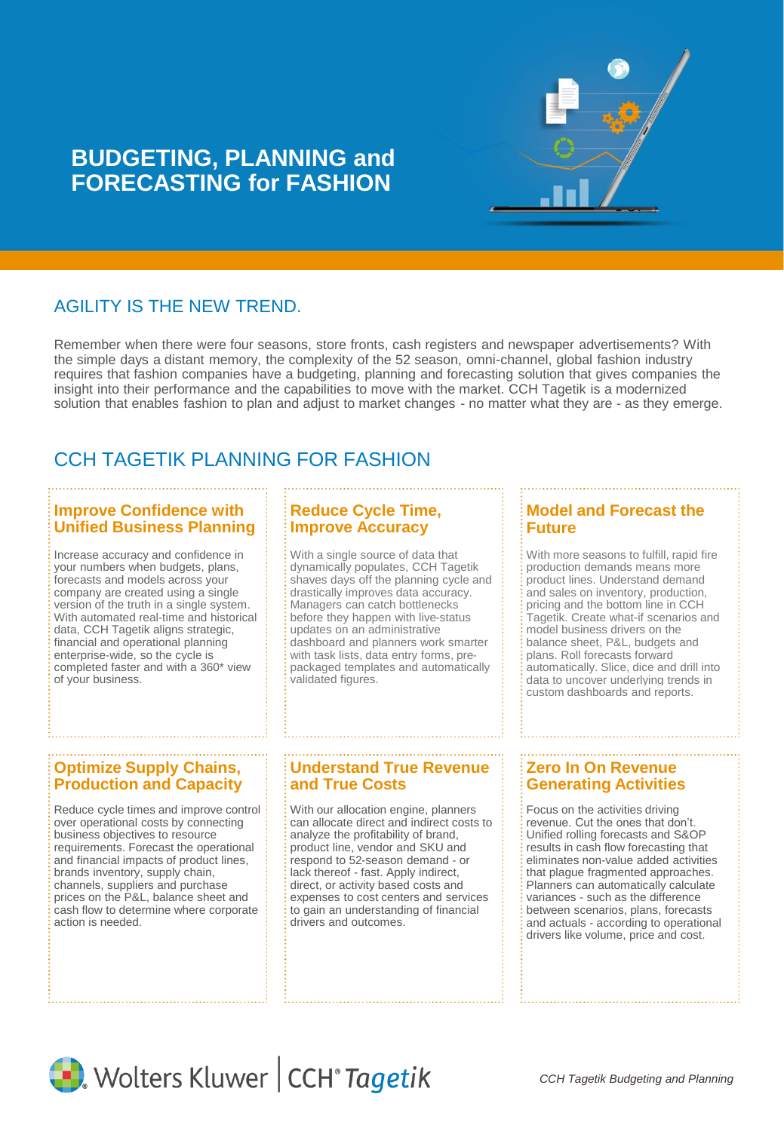

# **BUDGETING, PLANNING and FORECASTING for FASHION**

## AGILITY IS THE NEW TREND.

Remember when there were four seasons, store fronts, cash registers and newspaper advertisements? With the simple days a distant memory, the complexity of the 52 season, omni-channel, global fashion industry requires that fashion companies have a budgeting, planning and forecasting solution that gives companies the insight into their performance and the capabilities to move with the market. CCH Tagetik is a modernized solution that enables fashion to plan and adjust to market changes - no matter what they are - as they emerge.

# CCH TAGETIK PLANNING FOR FASHION

### **Improve Confidence with Unified Business Planning**

Increase accuracy and confidence in your numbers when budgets, plans, forecasts and models across your company are created using a single version of the truth in a single system. With automated real-time and historical data, CCH Tagetik aligns strategic, financial and operational planning enterprise-wide, so the cycle is completed faster and with a 360\* view of your business.

### **Reduce Cycle Time, Improve Accuracy**

With a single source of data that dynamically populates, CCH Tagetik shaves days off the planning cycle and drastically improves data accuracy. Managers can catch bottlenecks before they happen with live-status updates on an administrative dashboard and planners work smarter with task lists, data entry forms, prepackaged templates and automatically validated figures.

### **Model and Forecast the Future**

With more seasons to fulfill, rapid fire production demands means more product lines. Understand demand and sales on inventory, production, pricing and the bottom line in CCH Tagetik. Create what-if scenarios and model business drivers on the balance sheet, P&L, budgets and plans. Roll forecasts forward automatically. Slice, dice and drill into data to uncover underlying trends in custom dashboards and reports.

### **Optimize Supply Chains, Production and Capacity**

Reduce cycle times and improve control over operational costs by connecting business objectives to resource requirements. Forecast the operational and financial impacts of product lines, brands inventory, supply chain, channels, suppliers and purchase prices on the P&L, balance sheet and cash flow to determine where corporate action is needed.

### **Understand True Revenue and True Costs**

With our allocation engine, planners can allocate direct and indirect costs to analyze the profitability of brand, product line, vendor and SKU and respond to 52-season demand - or lack thereof - fast. Apply indirect, direct, or activity based costs and expenses to cost centers and services to gain an understanding of financial drivers and outcomes.

## **Zero In On Revenue Generating Activities**

Focus on the activities driving revenue. Cut the ones that don't. Unified rolling forecasts and S&OP results in cash flow forecasting that eliminates non-value added activities that plague fragmented approaches. Planners can automatically calculate variances - such as the difference between scenarios, plans, forecasts and actuals - according to operational drivers like volume, price and cost.